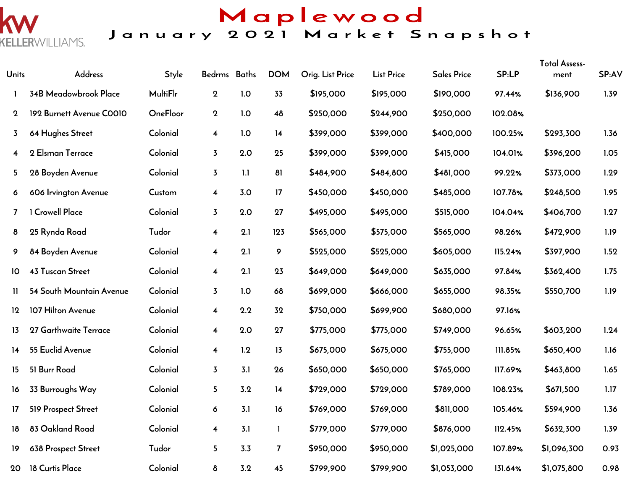

### Maplewood January 2021 Market Snapshot

| Units           | Address                  | <b>Style</b>    | Bedrms Baths            |     | <b>DOM</b>     | Orig. List Price | <b>List Price</b> | <b>Sales Price</b> | SP:LP   | <b>Total Assess-</b><br>ment | SP:AV |
|-----------------|--------------------------|-----------------|-------------------------|-----|----------------|------------------|-------------------|--------------------|---------|------------------------------|-------|
|                 | 34B Meadowbrook Place    | <b>MultiFlr</b> | $\boldsymbol{2}$        | 1.0 | 33             | \$195,000        | \$195,000         | \$190,000          | 97.44%  | \$136,900                    | 1.39  |
| $\mathbf 2$     | 192 Burnett Avenue COO10 | OneFloor        | $\boldsymbol{2}$        | 1.0 | 48             | \$250,000        | \$244,900         | \$250,000          | 102.08% |                              |       |
| 3               | 64 Hughes Street         | Colonial        | $\overline{\mathbf{4}}$ | 1.0 | 14             | \$399,000        | \$399,000         | \$400,000          | 100.25% | \$293,300                    | 1.36  |
| 4               | 2 Elsman Terrace         | Colonial        | $\overline{3}$          | 2.0 | 25             | \$399,000        | \$399,000         | \$415,000          | 104.01% | \$396,200                    | 1.05  |
| 5               | 28 Boyden Avenue         | Colonial        | $\overline{3}$          | 1.1 | 81             | \$484,900        | \$484,800         | \$481,000          | 99.22%  | \$373,000                    | 1.29  |
| 6               | 606 Irvington Avenue     | Custom          | $\overline{\mathbf{4}}$ | 3.0 | 17             | \$450,000        | \$450,000         | \$485,000          | 107.78% | \$248,500                    | 1.95  |
| 7               | <b>Crowell Place</b>     | Colonial        | $\overline{3}$          | 2.0 | 27             | \$495,000        | \$495,000         | \$515,000          | 104.04% | \$406,700                    | 1.27  |
| 8               | 25 Rynda Road            | Tudor           | $\overline{\mathbf{4}}$ | 2.1 | 123            | \$565,000        | \$575,000         | \$565,000          | 98.26%  | \$472,900                    | 1.19  |
| 9               | 84 Boyden Avenue         | Colonial        | $\overline{\mathbf{4}}$ | 2.1 | 9              | \$525,000        | \$525,000         | \$605,000          | 115.24% | \$397,900                    | 1.52  |
| 10              | <b>43 Tuscan Street</b>  | Colonial        | $\overline{\mathbf{4}}$ | 2.1 | 23             | \$649,000        | \$649,000         | \$635,000          | 97.84%  | \$362,400                    | 1.75  |
| $\mathbf{u}$    | 54 South Mountain Avenue | Colonial        | $\overline{3}$          | 1.0 | 68             | \$699,000        | \$666,000         | \$655,000          | 98.35%  | \$550,700                    | 1.19  |
| 12              | 107 Hilton Avenue        | Colonial        | $\overline{\mathbf{4}}$ | 2.2 | 32             | \$750,000        | \$699,900         | \$680,000          | 97.16%  |                              |       |
| 13              | 27 Garthwaite Terrace    | Colonial        | $\overline{\mathbf{4}}$ | 2.0 | 27             | \$775,000        | \$775,000         | \$749,000          | 96.65%  | \$603,200                    | 1.24  |
| $\overline{14}$ | 55 Euclid Avenue         | Colonial        | $\overline{\mathbf{4}}$ | 1.2 | 13             | \$675,000        | \$675,000         | \$755,000          | 111.85% | \$650,400                    | 1.16  |
| 15              | 51 Burr Road             | Colonial        | $\overline{3}$          | 3.1 | 26             | \$650,000        | \$650,000         | \$765,000          | 117.69% | \$463,800                    | 1.65  |
| 16              | 33 Burroughs Way         | Colonial        | 5                       | 3.2 | 14             | \$729,000        | \$729,000         | \$789,000          | 108.23% | \$671,500                    | 1.17  |
| 17              | 519 Prospect Street      | Colonial        | 6                       | 3.1 | 16             | \$769,000        | \$769,000         | \$811,000          | 105.46% | \$594,900                    | 1.36  |
| 18              | 83 Oakland Road          | Colonial        | $\overline{\mathbf{4}}$ | 3.1 | 1.             | \$779,000        | \$779,000         | \$876,000          | 112.45% | \$632,300                    | 1.39  |
| 19              | 638 Prospect Street      | Tudor           | 5                       | 3.3 | $\overline{7}$ | \$950,000        | \$950,000         | \$1,025,000        | 107.89% | \$1,096,300                  | 0.93  |
| 20              | 18 Curtis Place          | Colonial        | 8                       | 3.2 | 45             | \$799,900        | \$799,900         | \$1,053,000        | 131.64% | \$1,075,800                  | 0.98  |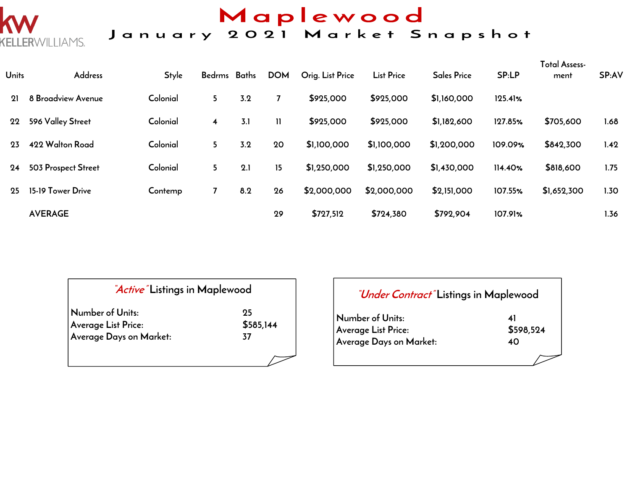

# Maplewood<br>January 2021 Market Snapshot

| <b>Units</b> | <b>Address</b>      | <b>Style</b> | Bedrms Baths            |     | <b>DOM</b>   | Orig. List Price | <b>List Price</b> | <b>Sales Price</b> | SP:LP   | <b>Total Assess-</b><br>ment | SP:AV             |
|--------------|---------------------|--------------|-------------------------|-----|--------------|------------------|-------------------|--------------------|---------|------------------------------|-------------------|
| 21           | 8 Broadview Avenue  | Colonial     | 5                       | 3.2 |              | \$925,000        | \$925,000         | \$1,160,000        | 125.41% |                              |                   |
| 22           | 596 Valley Street   | Colonial     | $\overline{\mathbf{4}}$ | 3.1 | $\mathbf{H}$ | \$925,000        | \$925,000         | \$1,182,600        | 127.85% | \$705,600                    | 1.68              |
| 23           | 422 Walton Road     | Colonial     | 5                       | 3.2 | 20           | \$1,100,000      | \$1,100,000       | \$1,200,000        | 109.09% | \$842,300                    | 1.42              |
| 24           | 503 Prospect Street | Colonial     | 5                       | 2.1 | 15           | \$1,250,000      | \$1,250,000       | \$1,430,000        | 114.40% | \$818,600                    | 1.75              |
| 25           | 15-19 Tower Drive   | Contemp      |                         | 8.2 | 26           | \$2,000,000      | \$2,000,000       | \$2,151,000        | 107.55% | \$1,652,300                  | 1.30 <sub>2</sub> |
|              | <b>AVERAGE</b>      |              |                         |     | 29           | \$727,512        | \$724,380         | \$792,904          | 107.91% |                              | 1.36              |

| <i>Active</i> Listings in Maplewood |           |
|-------------------------------------|-----------|
| Number of Units:                    | 95        |
| Average List Price:                 | \$585,144 |
| Average Days on Market:             | 37        |
|                                     |           |

| <i>"Under Contract"</i> Listings in Maplewood |              |
|-----------------------------------------------|--------------|
| Number of Units:                              | $\mathbf{A}$ |
| Average List Price:                           | \$598,524    |
| Average Days on Market:                       | 40           |
|                                               |              |